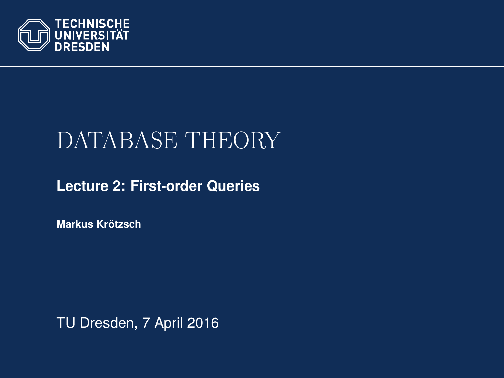

# DATABASE THEORY

#### **[Lecture 2: First-order Queries](https://ddll.inf.tu-dresden.de/web/Database_Theory_%28SS2016%29/en)**

**[Markus Krotzsch](http://korrekt.org/) ¨**

<span id="page-0-0"></span>TU Dresden, 7 April 2016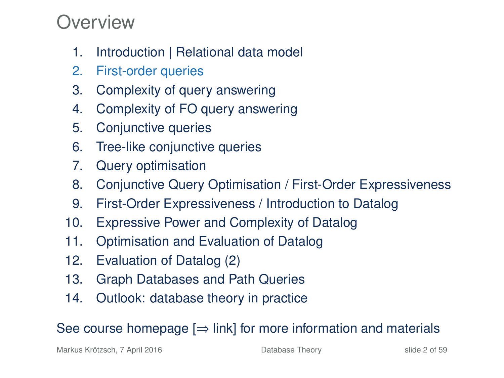#### Overview

- 1. Introduction | Relational data model
- 2. First-order queries
- 3. Complexity of query answering
- 4. Complexity of FO query answering
- 5. Conjunctive queries
- 6. Tree-like conjunctive queries
- 7. Query optimisation
- 8. Conjunctive Query Optimisation / First-Order Expressiveness
- 9. First-Order Expressiveness / Introduction to Datalog
- 10. Expressive Power and Complexity of Datalog
- 11. Optimisation and Evaluation of Datalog
- 12. Evaluation of Datalog (2)
- 13. Graph Databases and Path Queries
- 14. Outlook: database theory in practice

See course homepage  $[\Rightarrow]$  link] for more information and materials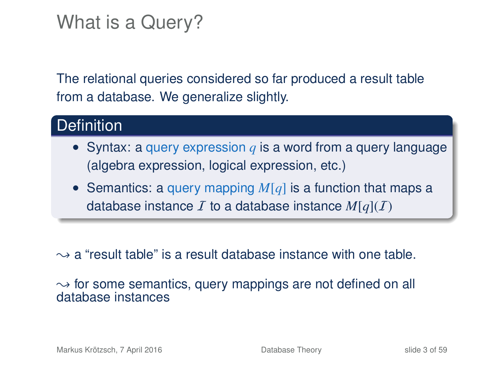### What is a Query?

The relational queries considered so far produced a result table from a database. We generalize slightly.

#### **Definition**

- Syntax: a query expression *q* is a word from a query language (algebra expression, logical expression, etc.)
- Semantics: a query mapping *M*[*q*] is a function that maps a database instance  $I$  to a database instance  $M[a](I)$

 $\rightarrow$  a "result table" is a result database instance with one table.

 $\rightarrow$  for some semantics, query mappings are not defined on all database instances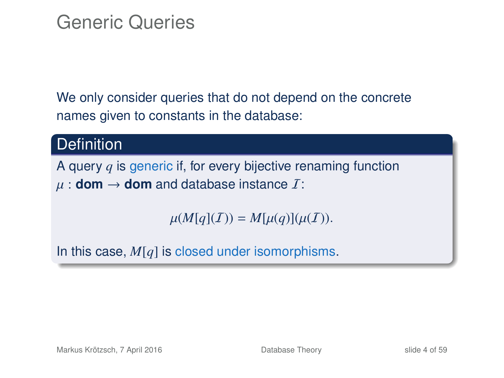### Generic Queries

We only consider queries that do not depend on the concrete names given to constants in the database:

#### **Definition**

A query *q* is generic if, for every bijective renaming function  $\mu$  : **dom**  $\rightarrow$  **dom** and database instance  $\mathcal{I}$ :

 $\mu(M[q](I)) = M[\mu(q)](\mu(I)).$ 

In this case, *M*[*q*] is closed under isomorphisms.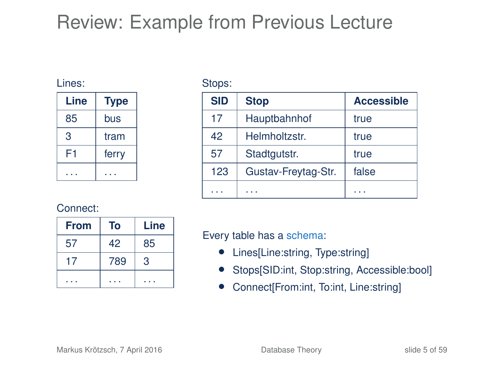## Review: Example from Previous Lecture

#### Lines:

| Line | <b>Type</b> |  |
|------|-------------|--|
| 85   | bus         |  |
| З    | tram        |  |
| F1   | ferry       |  |
|      |             |  |

Stops:

| <b>SID</b> | <b>Stop</b>         | <b>Accessible</b> |
|------------|---------------------|-------------------|
| 17         | Hauptbahnhof        | true              |
| 42         | Helmholtzstr.       | true              |
| 57         | Stadtgutstr.        | true              |
| 123        | Gustav-Freytag-Str. | false             |
|            |                     | .                 |

#### Connect:

| <b>From</b> | To  | Line |
|-------------|-----|------|
| 57          | 42  | 85   |
| 17          | 789 | 3    |
|             |     |      |

Every table has a schema:

- Lines[Line:string, Type:string]
- Stops[SID:int, Stop:string, Accessible:bool]
- Connect[From:int, To:int, Line:string]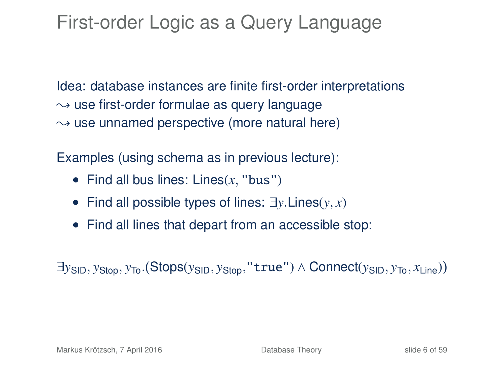## First-order Logic as a Query Language

Idea: database instances are finite first-order interpretations  $\rightarrow$  use first-order formulae as query language  $\rightarrow$  use unnamed perspective (more natural here)

Examples (using schema as in previous lecture):

- Find all bus lines: Lines(*x*, "bus")
- Find all possible types of lines: ∃*y*.Lines(*y*, *x*)
- Find all lines that depart from an accessible stop:

∃*y*SID, *y*Stop, *y*To. Stops(*y*SID, *y*Stop,"true") ∧ Connect(*y*SID, *y*To, *x*Line)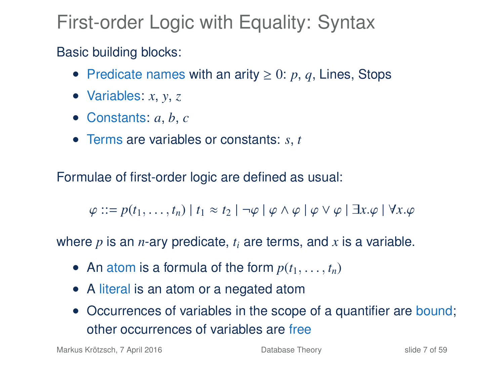## First-order Logic with Equality: Syntax

#### Basic building blocks:

- Predicate names with an arity  $\geq 0$ : p, q, Lines, Stops
- Variables:  $x, y, z$
- Constants: *a*, *b*, *c*
- Terms are variables or constants: *s*, *t*

Formulae of first-order logic are defined as usual:

 $\varphi$  ::=  $p(t_1, \ldots, t_n)$  |  $t_1 \approx t_2$  |  $\neg \varphi \mid \varphi \wedge \varphi \mid \varphi \vee \varphi \mid \exists x. \varphi \mid \forall x. \varphi$ 

where *p* is an *n*-ary predicate, *t<sup>i</sup>* are terms, and *x* is a variable.

- An atom is a formula of the form  $p(t_1, \ldots, t_n)$
- A literal is an atom or a negated atom
- Occurrences of variables in the scope of a quantifier are bound; other occurrences of variables are free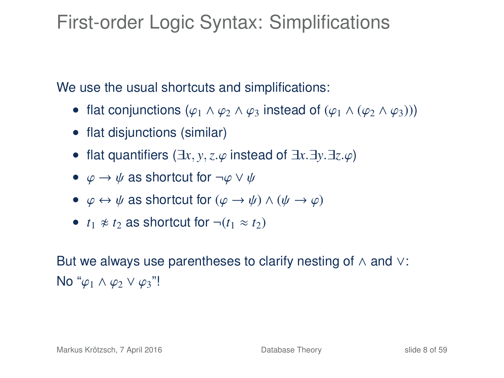### First-order Logic Syntax: Simplifications

We use the usual shortcuts and simplifications:

- flat conjunctions  $(\varphi_1 \wedge \varphi_2 \wedge \varphi_3)$  instead of  $(\varphi_1 \wedge (\varphi_2 \wedge \varphi_3))$
- flat disjunctions (similar)
- flat quantifiers (∃*x*, *<sup>y</sup>*,*z*.ϕ instead of <sup>∃</sup>*x*.∃*y*.∃*z*.ϕ)
- $\varphi \to \psi$  as shortcut for  $\neg \varphi \lor \psi$
- $\varphi \leftrightarrow \psi$  as shortcut for  $(\varphi \rightarrow \psi) \land (\psi \rightarrow \varphi)$
- $t_1 \not\approx t_2$  as shortcut for  $\neg (t_1 \approx t_2)$

But we always use parentheses to clarify nesting of ∧ and ∨: No " $\varphi_1 \wedge \varphi_2 \vee \varphi_3$ "!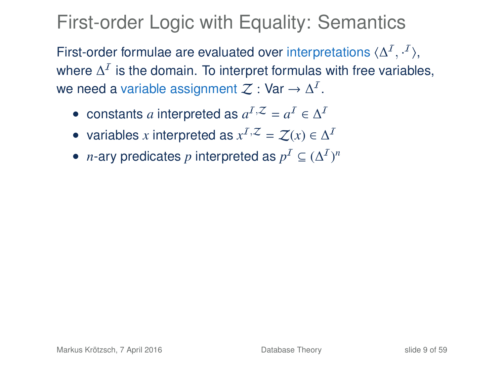### First-order Logic with Equality: Semantics

First-order formulae are evaluated over interpretations  $\langle \Delta^I, \cdot^I \rangle$ , where  $\Delta^{\mathcal{I}}$  is the domain. To interpret formulas with free variables, we need a variable assignment  $\mathcal Z:$  Var  $\to \Delta^I.$ 

- constants *a* interpreted as  $a^I$ <sup> $Z$ </sup> =  $a^I \in \Delta^I$
- variables *x* interpreted as  $x^I$ , $\mathcal{Z} = \mathcal{Z}(x) \in \Delta^I$
- *n*-ary predicates *p* interpreted as  $p^I \subseteq (\Delta^I)^n$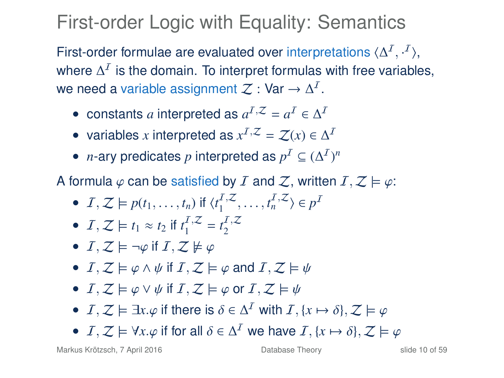## First-order Logic with Equality: Semantics

First-order formulae are evaluated over interpretations  $\langle \Delta^I, \cdot^I \rangle$ , where  $\Delta^{\mathcal{I}}$  is the domain. To interpret formulas with free variables, we need a variable assignment  $\mathcal Z:$  Var  $\to \Delta^I.$ 

- constants *a* interpreted as  $a^I$ <sup> $Z$ </sup> =  $a^I \in \Delta^I$
- variables *x* interpreted as  $x^I$ , $\mathcal{Z} = \mathcal{Z}(x) \in \Delta^I$
- *n*-ary predicates *p* interpreted as  $p^I \subseteq (\Delta^I)^n$

A formula  $\varphi$  can be satisfied by I and Z, written  $I, Z \models \varphi$ :

- $I, Z \models p(t_1, \ldots, t_n)$  if  $\langle t_1^{I, Z} \rangle$  $\langle I, Z_1, \ldots, I_n^{I}, Z \rangle \in p^I$
- $I, Z \models t_1 \approx t_2$  if  $t_1^{I, Z}$  $t_1^{\mathcal{I},\mathcal{Z}}=t_2^{\mathcal{I},\mathcal{Z}}$ 2
- $I, Z \models \neg \varphi$  if  $I, Z \not\models \varphi$
- $I, Z \models \varphi \land \psi$  if  $I, Z \models \varphi$  and  $I, Z \models \psi$
- $I, Z \models \varphi \vee \psi$  if  $I, Z \models \varphi$  or  $I, Z \models \psi$
- *I*, *Z*  $\models \exists x.\varphi$  if there is  $\delta \in \Delta^{\mathcal{I}}$  with *I*, {*x*  $\mapsto \delta$ }, *Z*  $\models \varphi$
- *I*,  $Z \models \forall x.\varphi$  if for all  $\delta \in \Delta^{\mathcal{I}}$  we have *I*, {*x* →  $\delta$ },  $Z \models \varphi$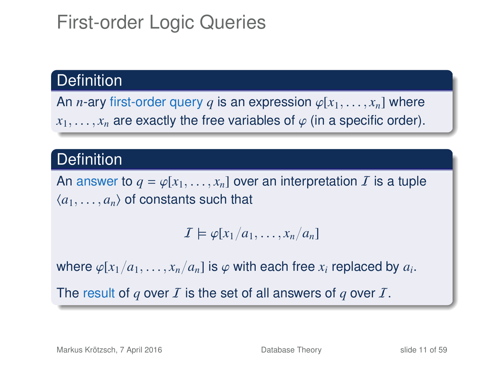## First-order Logic Queries

#### **Definition**

An *n*-ary first-order query *q* is an expression  $\varphi[x_1, \ldots, x_n]$  where  $x_1, \ldots, x_n$  are exactly the free variables of  $\varphi$  (in a specific order).

#### **Definition**

An answer to  $q = \varphi[x_1, \ldots, x_n]$  over an interpretation  $\bar{I}$  is a tuple  $\langle a_1, \ldots, a_n \rangle$  of constants such that

$$
\mathcal{I}\models \varphi[x_1/a_1,\ldots,x_n/a_n]
$$

where  $\varphi[x_1/a_1, \ldots, x_n/a_n]$  is  $\varphi$  with each free  $x_i$  replaced by  $a_i$ .

The result of  $q$  over  $I$  is the set of all answers of  $q$  over  $I$ .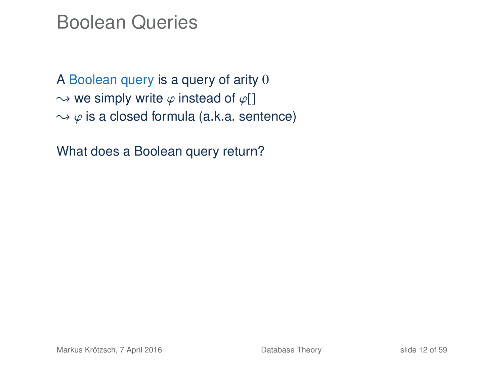#### Boolean Queries

A Boolean query is a query of arity 0  $\rightarrow$  we simply write  $\varphi$  instead of  $\varphi$ []  $\rightarrow \varphi$  is a closed formula (a.k.a. sentence)

What does a Boolean query return?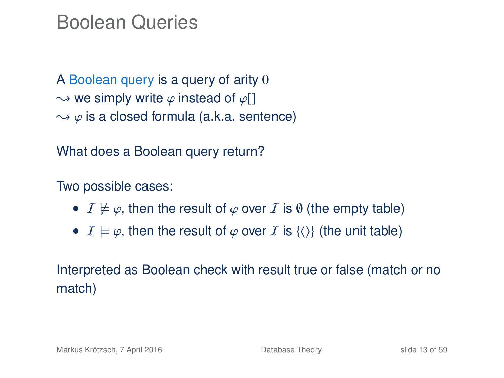#### Boolean Queries

A Boolean query is a query of arity 0  $\rightarrow$  we simply write  $\varphi$  instead of  $\varphi$ []  $\rightarrow \varphi$  is a closed formula (a.k.a. sentence)

What does a Boolean query return?

Two possible cases:

- $\mathcal{I} \not\models \varphi$ , then the result of  $\varphi$  over  $\mathcal{I}$  is  $\emptyset$  (the empty table)
- $\mathcal{I} \models \varphi$ , then the result of  $\varphi$  over  $\mathcal{I}$  is  $\{\langle\rangle\}$  (the unit table)

Interpreted as Boolean check with result true or false (match or no match)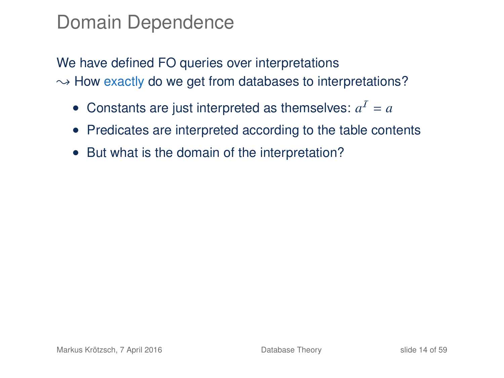### Domain Dependence

We have defined FO queries over interpretations  $\rightarrow$  How exactly do we get from databases to interpretations?

- Constants are just interpreted as themselves:  $a^I = a$
- Predicates are interpreted according to the table contents
- But what is the domain of the interpretation?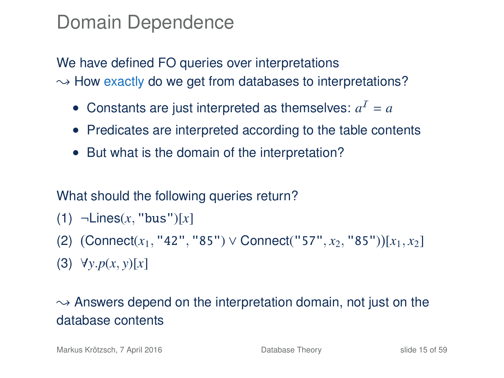### Domain Dependence

We have defined FO queries over interpretations  $\rightarrow$  How exactly do we get from databases to interpretations?

- Constants are just interpreted as themselves:  $a^I = a$
- Predicates are interpreted according to the table contents
- But what is the domain of the interpretation?

#### What should the following queries return?

- (1) ¬Lines(*x*, "bus")[*x*]
- (2) Connect(*x*1, "42", "85") ∨ Connect("57", *x*2, "85") [*x*1, *x*2]

(3) ∀*y*.*p*(*x*, *y*)[*x*]

#### $\rightarrow$  Answers depend on the interpretation domain, not just on the database contents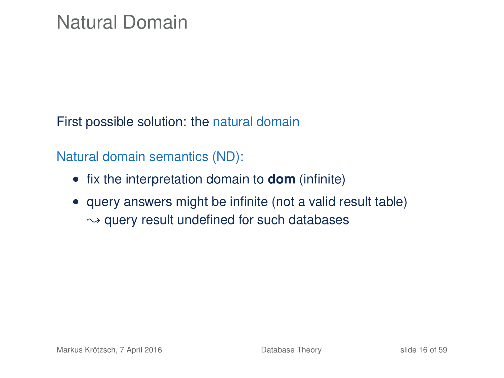First possible solution: the natural domain

Natural domain semantics (ND):

- fix the interpretation domain to **dom** (infinite)
- query answers might be infinite (not a valid result table)  $\rightarrow$  query result undefined for such databases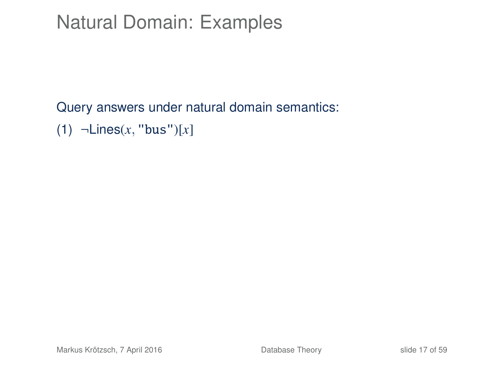Query answers under natural domain semantics:

(1) ¬Lines(*x*, "bus")[*x*]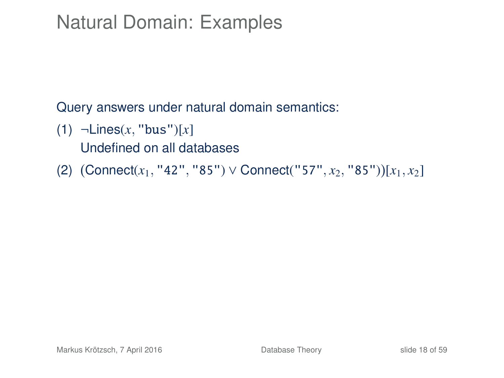Query answers under natural domain semantics:

- (1) ¬Lines(*x*, "bus")[*x*] Undefined on all databases
- (2) Connect(*x*1, "42", "85") ∨ Connect("57", *x*2, "85") [*x*1, *x*2]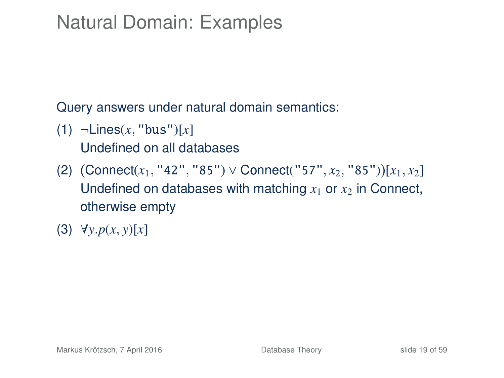Query answers under natural domain semantics:

- (1) ¬Lines(*x*, "bus")[*x*] Undefined on all databases
- (2) Connect(*x*1, "42", "85") ∨ Connect("57", *x*2, "85") [*x*1, *x*2] Undefined on databases with matching  $x_1$  or  $x_2$  in Connect, otherwise empty
- (3) ∀*y*.*p*(*x*, *y*)[*x*]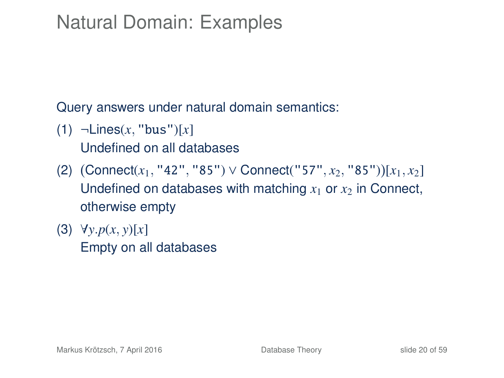Query answers under natural domain semantics:

- (1) ¬Lines(*x*, "bus")[*x*] Undefined on all databases
- (2) Connect(*x*1, "42", "85") ∨ Connect("57", *x*2, "85") [*x*1, *x*2] Undefined on databases with matching  $x_1$  or  $x_2$  in Connect, otherwise empty
- (3) ∀*y*.*p*(*x*, *y*)[*x*] Empty on all databases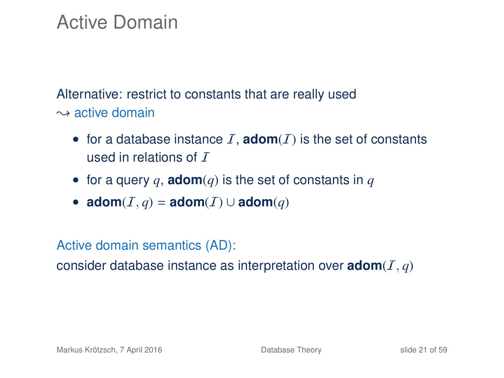### Active Domain

Alternative: restrict to constants that are really used  $\sim$  active domain

- for a database instance  $I$ , **adom** $(I)$  is the set of constants used in relations of  $T$
- for a query  $q$ , **adom** $(q)$  is the set of constants in  $q$
- $\text{adom}(I, q) = \text{adom}(I) \cup \text{adom}(q)$

Active domain semantics (AD):

consider database instance as interpretation over  $\mathbf{adom}(I,q)$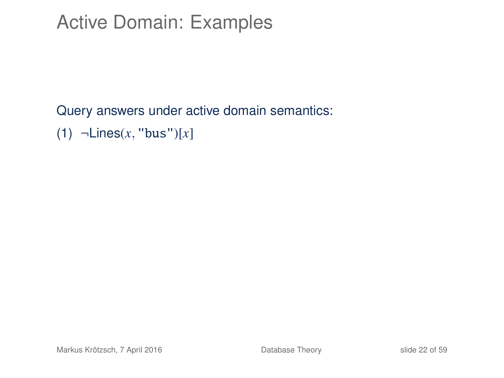### Active Domain: Examples

#### Query answers under active domain semantics: (1) ¬Lines(*x*, "bus")[*x*]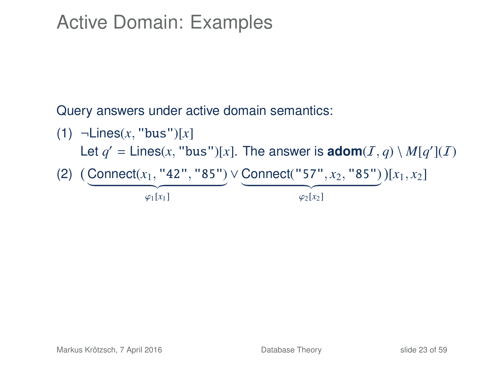### Active Domain: Examples

Query answers under active domain semantics:

\n- (1) 
$$
\neg\text{Lines}(x, \text{ "bus"})[x]
$$
\n- Let  $q' = \text{Lines}(x, \text{ "bus"})[x]$ . The answer is **adom**(*I*, *q*) \setminus M[q'](*I*)
\n- (2)  $(\text{Connect}(x_1, \text{ "42", \text{ "85"})} \vee \text{Connect}(\text{ "57", } x_2, \text{ "85"}))[x_1, x_2]$
\n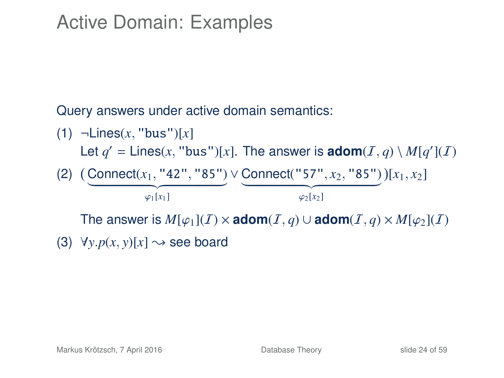### Active Domain: Examples

Query answers under active domain semantics:

\n- (1) 
$$
\neg\text{Lines}(x, \text{ "bus"})[x]
$$
 Let  $q' = \text{Lines}(x, \text{ "bus"})[x]$ . The answer is **adom** $(I, q) \setminus M[q'](I)$
\n- (2)  $(\underbrace{\text{Connect}(x_1, \text{ "42", "85"}}_{\varphi_1[x_1]}) \vee \underbrace{\text{Connect}(\text{ "57", } x_2, \text{ "85"}}_{\varphi_2[x_2]})}[x_1, x_2]$
\n- The answer is  $M[\varphi_1](I) \times \text{adom}(I, q) \cup \text{adom}(I, q) \times M[\varphi_2](I)$
\n- (3)  $\forall y. p(x, y)[x] \rightsquigarrow \text{see board}$
\n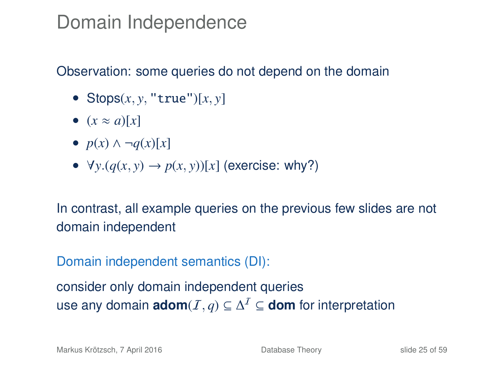#### Domain Independence

#### Observation: some queries do not depend on the domain

- Stops $(x, y, "true")[x, y]$
- $(x \approx a)[x]$
- $p(x) \wedge \neg q(x)[x]$
- $\forall y. (q(x, y) \rightarrow p(x, y))[x]$  (exercise: why?)

In contrast, all example queries on the previous few slides are not domain independent

Domain independent semantics (DI):

consider only domain independent queries use any domain  $\mathsf{adom}(I,q) \subseteq \Delta^I \subseteq \mathsf{dom}$  for interpretation

Markus Krötzsch, 7 April 2016 **[Database Theory](#page-0-0)** Slide 25 of 59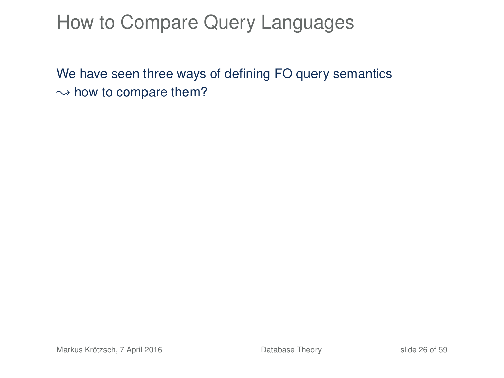### How to Compare Query Languages

We have seen three ways of defining FO query semantics  $\rightarrow$  how to compare them?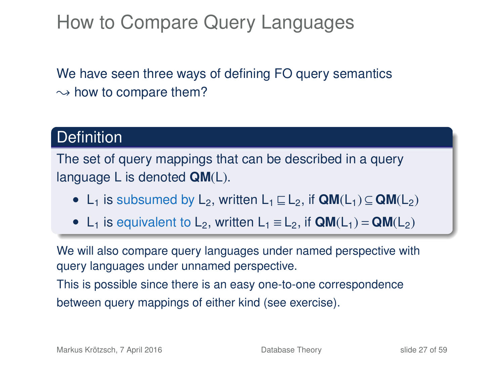### How to Compare Query Languages

We have seen three ways of defining FO query semantics  $\rightarrow$  how to compare them?

#### **Definition**

The set of query mappings that can be described in a query language L is denoted **QM**(L).

- L<sub>1</sub> is subsumed by L<sub>2</sub>, written L<sub>1</sub>  $\sqsubseteq$  L<sub>2</sub>, if **QM**(L<sub>1</sub>)  $\subseteq$  **QM**(L<sub>2</sub>)
- L<sub>1</sub> is equivalent to L<sub>2</sub>, written L<sub>1</sub>  $\equiv$  L<sub>2</sub>, if  $QM(L_1) = QM(L_2)$

We will also compare query languages under named perspective with query languages under unnamed perspective.

This is possible since there is an easy one-to-one correspondence between query mappings of either kind (see exercise).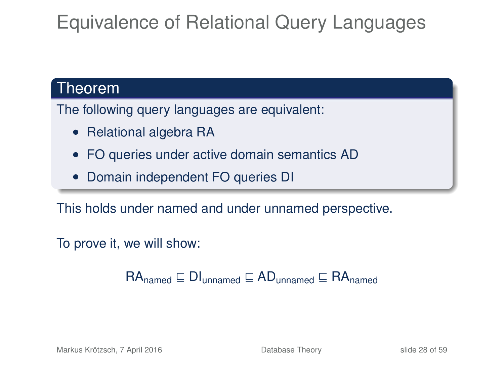## Equivalence of Relational Query Languages

#### Theorem

The following query languages are equivalent:

- Relational algebra RA
- FO queries under active domain semantics AD
- Domain independent FO queries DI

This holds under named and under unnamed perspective.

To prove it, we will show:

 $RA_{\text{named}} \sqsubseteq \text{DI}_{\text{unnamed}} \sqsubseteq \text{AD}_{\text{unnamed}} \sqsubseteq \text{RA}_{\text{named}}$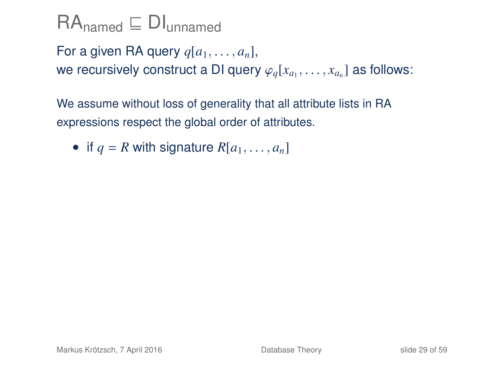For a given RA query  $q[a_1, \ldots, a_n]$ , we recursively construct a DI query  $\varphi_q[x_{a_1}, \ldots, x_{a_n}]$  as follows:

We assume without loss of generality that all attribute lists in RA expressions respect the global order of attributes.

• if  $q = R$  with signature  $R[a_1, \ldots, a_n]$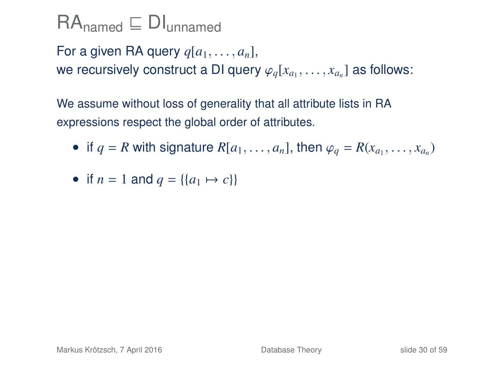For a given RA query  $q[a_1, \ldots, a_n]$ , we recursively construct a DI query  $\varphi_q[x_{a_1}, \ldots, x_{a_n}]$  as follows:

- if  $q = R$  with signature  $R[a_1, \ldots, a_n]$ , then  $\varphi_q = R(x_{a_1}, \ldots, x_{a_n})$
- if  $n = 1$  and  $q = \{ \{a_1 \mapsto c \} \}$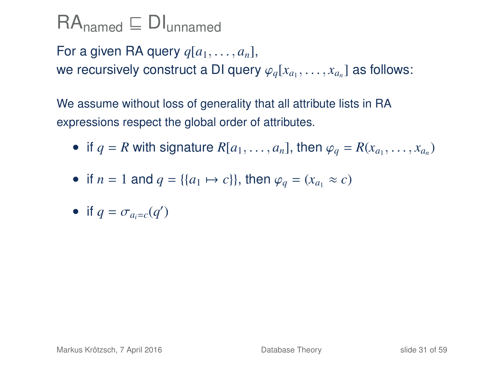For a given RA query  $q[a_1, \ldots, a_n]$ , we recursively construct a DI query  $\varphi_q[x_{a_1}, \ldots, x_{a_n}]$  as follows:

- if  $q = R$  with signature  $R[a_1, \ldots, a_n]$ , then  $\varphi_q = R(x_{a_1}, \ldots, x_{a_n})$
- if *n* = 1 and  $q = \{(a_1 \mapsto c)\}\)$ , then  $\varphi_q = (x_{q_1} \approx c)$
- if  $q = \sigma_{a_i=c}(q')$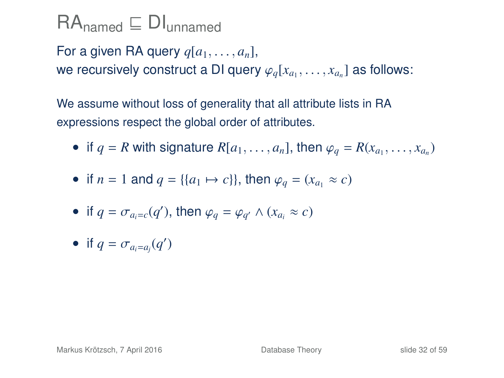For a given RA query  $q[a_1, \ldots, a_n]$ , we recursively construct a DI query  $\varphi_q[x_{a_1}, \ldots, x_{a_n}]$  as follows:

- if  $q = R$  with signature  $R[a_1, \ldots, a_n]$ , then  $\varphi_q = R(x_{a_1}, \ldots, x_{a_n})$
- if *n* = 1 and  $q = \{(a_1 \mapsto c)\}\)$ , then  $\varphi_q = (x_{q_1} \approx c)$
- if  $q = \sigma_{a_i=c}(q')$ , then  $\varphi_q = \varphi_{q'} \wedge (x_{a_i} \approx c)$
- if  $q = \sigma_{a_i=a_j}(q')$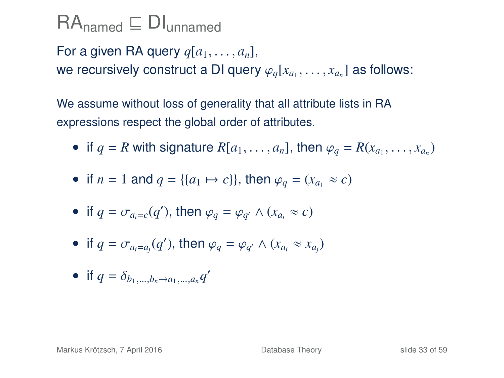For a given RA query  $q[a_1, \ldots, a_n]$ , we recursively construct a DI query  $\varphi_q[x_{a_1}, \ldots, x_{a_n}]$  as follows:

- if  $q = R$  with signature  $R[a_1, \ldots, a_n]$ , then  $\varphi_q = R(x_{a_1}, \ldots, x_{a_n})$
- if *n* = 1 and *q* = {{*a*<sub>1</sub>  $\mapsto$  *c*}}, then  $\varphi_a = (x_a, \approx c)$
- if  $q = \sigma_{a_i=c}(q')$ , then  $\varphi_q = \varphi_{q'} \wedge (x_{a_i} \approx c)$
- if  $q = \sigma_{a_i=a_j}(q')$ , then  $\varphi_q = \varphi_{q'} \wedge (x_{a_i} \approx x_{a_j})$
- if  $q = \delta_{b_1,...,b_n \to a_1,...,a_n} q'$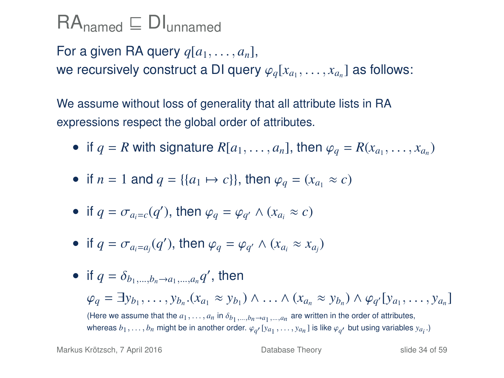For a given RA query  $q[a_1, \ldots, a_n]$ , we recursively construct a DI query  $\varphi_q[x_{a_1}, \ldots, x_{a_n}]$  as follows:

- if  $q = R$  with signature  $R[a_1, \ldots, a_n]$ , then  $\varphi_q = R(x_{a_1}, \ldots, x_{a_n})$
- if *n* = 1 and  $q = \{(a_1 \mapsto c)\}\)$ , then  $\varphi_q = (x_{q_1} \approx c)$
- if  $q = \sigma_{a_i=c}(q')$ , then  $\varphi_q = \varphi_{q'} \wedge (x_{a_i} \approx c)$
- if  $q = \sigma_{a_i=a_j}(q')$ , then  $\varphi_q = \varphi_{q'} \wedge (x_{a_i} \approx x_{a_j})$

\n- if 
$$
q = \delta_{b_1, \ldots, b_n \to a_1, \ldots, a_n} q'
$$
, then
\n- $\varphi_q = \exists y_{b_1}, \ldots, y_{b_n} . (x_{a_1} \approx y_{b_1}) \land \ldots \land (x_{a_n} \approx y_{b_n}) \land \varphi_{q'}[y_{a_1}, \ldots, y_{a_n}]$  (Here we assume that the  $a_1, \ldots, a_n$  in  $\delta_{b_1, \ldots, b_n \to a_1, \ldots, a_n}$  are written in the order of attributes, whereas  $b_1, \ldots, b_n$  might be in another order.  $\varphi_{q'}[y_{a_1}, \ldots, y_{a_n}]$  is like  $\varphi_{q'}$  but using variables  $y_{a_i}$ .)
\n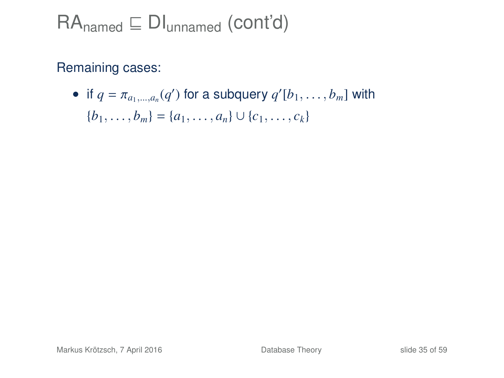#### Remaining cases:

• if  $q = \pi_{a_1,\dots,a_n}(q')$  for a subquery  $q'[b_1,\dots,b_m]$  with  ${b_1, \ldots, b_m} = {a_1, \ldots, a_n} \cup {c_1, \ldots, c_k}$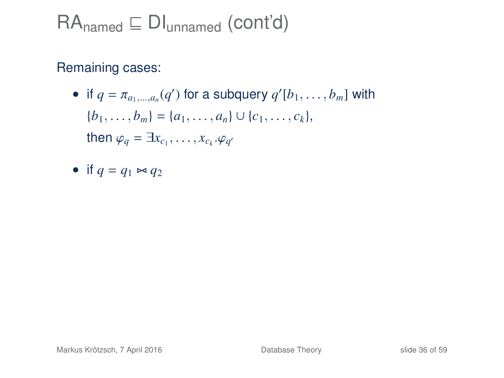## $RA_{\text{named}} \subseteq \text{DI}_{\text{unnamed}}$  (cont'd)

- if  $q = \pi_{a_1,\dots,a_n}(q')$  for a subquery  $q'[b_1,\dots,b_m]$  with  ${b_1, \ldots, b_m} = {a_1, \ldots, a_n} \cup {c_1, \ldots, c_k},$ then  $\varphi_q = \exists x_{c_1}, \ldots, x_{c_k}.\varphi_{q'}$
- if  $q = q_1 \Join q_2$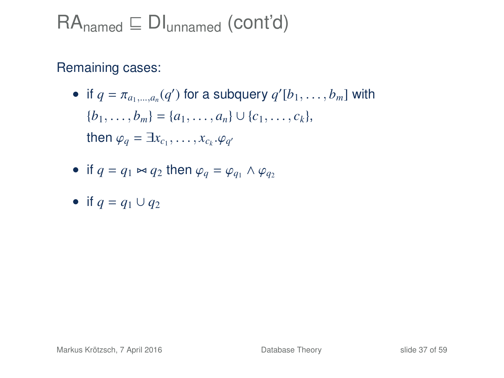#### Remaining cases:

• if  $q = \pi_{a_1,\dots,a_n}(q')$  for a subquery  $q'[b_1,\dots,b_m]$  with  ${b_1, \ldots, b_m} = {a_1, \ldots, a_n} \cup {c_1, \ldots, c_k},$ then  $\varphi_q = \exists x_{c_1}, \ldots, x_{c_k}.\varphi_{q'}$ 

• if 
$$
q = q_1 \bowtie q_2
$$
 then  $\varphi_q = \varphi_{q_1} \land \varphi_{q_2}$ 

• if 
$$
q = q_1 \cup q_2
$$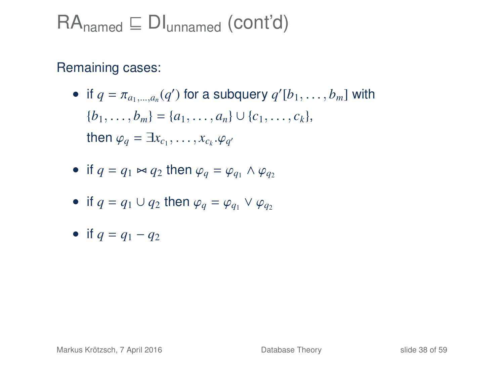- if  $q = \pi_{a_1,\dots,a_n}(q')$  for a subquery  $q'[b_1,\dots,b_m]$  with  ${b_1, \ldots, b_m} = {a_1, \ldots, a_n} \cup {c_1, \ldots, c_k},$ then  $\varphi_q = \exists x_{c_1}, \ldots, x_{c_k}.\varphi_{q'}$
- if  $q = q_1 \bowtie q_2$  then  $\varphi_q = \varphi_{q_1} \wedge \varphi_{q_2}$

• if 
$$
q = q_1 \cup q_2
$$
 then  $\varphi_q = \varphi_{q_1} \vee \varphi_{q_2}$ 

• if 
$$
q = q_1 - q_2
$$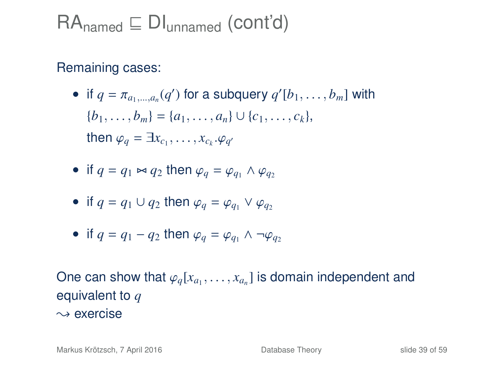#### Remaining cases:

- if  $q = \pi_{a_1,\dots,a_n}(q')$  for a subquery  $q'[b_1,\dots,b_m]$  with  ${b_1, \ldots, b_m} = {a_1, \ldots, a_n} \cup {c_1, \ldots, c_k},$ then  $\varphi_q = \exists x_{c_1}, \ldots, x_{c_k}.\varphi_{q'}$
- if  $q = q_1 \bowtie q_2$  then  $\varphi_q = \varphi_{q_1} \wedge \varphi_{q_2}$

• if 
$$
q = q_1 \cup q_2
$$
 then  $\varphi_q = \varphi_{q_1} \vee \varphi_{q_2}$ 

• if 
$$
q = q_1 - q_2
$$
 then  $\varphi_q = \varphi_{q_1} \wedge \neg \varphi_{q_2}$ 

One can show that  $\varphi_q[x_{a_1}, \ldots, x_{a_n}]$  is domain independent and  $\varphi_q[x_{a_1}, \ldots, x_{a_n}]$  is domain independent and equivalent to *q*  $\rightsquigarrow$  exercise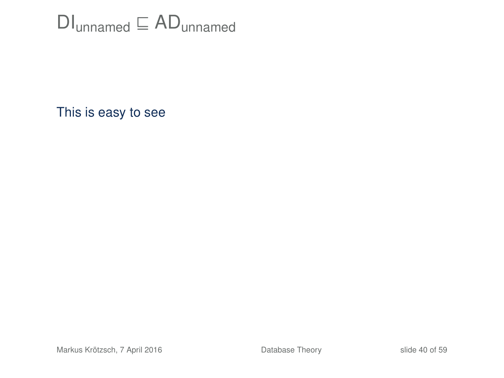## $DI<sub>unnamed</sub> \sqsubseteq AD<sub>unnamed</sub>$

This is easy to see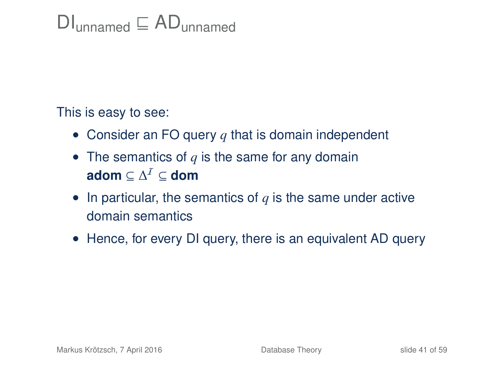## $Dl$ <sub>unnamed</sub>  $\sqsubseteq AD$ <sub>unnamed</sub>

This is easy to see:

- Consider an FO query *q* that is domain independent
- The semantics of q is the same for any domain  $\mathbf{adom} \subseteq \Delta^{\mathcal{I}} \subseteq \mathbf{dom}$
- In particular, the semantics of *q* is the same under active domain semantics
- Hence, for every DI query, there is an equivalent AD query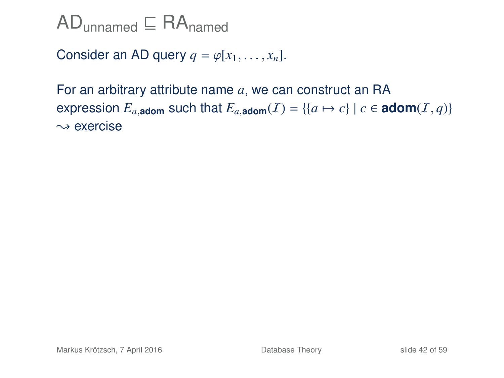$AD$ <sub>unnamed</sub>  $\subseteq$  RA<sub>named</sub>

Consider an AD query  $q = \varphi[x_1, \ldots, x_n]$ .

For an arbitrary attribute name *a*, we can construct an RA expression  $E_{a,\text{adom}}$  such that  $E_{a,\text{adom}}(I) = \{ \{a \mapsto c\} \mid c \in \text{adom}(I,q) \}$  $\rightsquigarrow$  exercise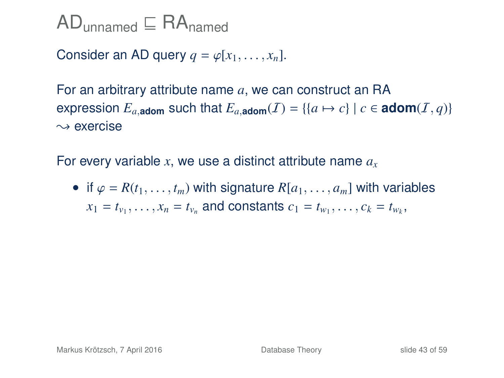Consider an AD query  $q = \varphi[x_1, \ldots, x_n]$ .

For an arbitrary attribute name *a*, we can construct an RA expression  $E_{a,\text{adom}}$  such that  $E_{a,\text{adom}}(I) = \{ \{a \mapsto c\} \mid c \in \text{adom}(I, q) \}$  $\rightsquigarrow$  exercise

For every variable *x*, we use a distinct attribute name *a<sup>x</sup>*

• if  $\varphi = R(t_1, \ldots, t_m)$  with signature  $R[a_1, \ldots, a_m]$  with variables  $x_1 = t_{v_1}, \ldots, x_n = t_{v_n}$  and constants  $c_1 = t_{w_1}, \ldots, c_k = t_{w_k}$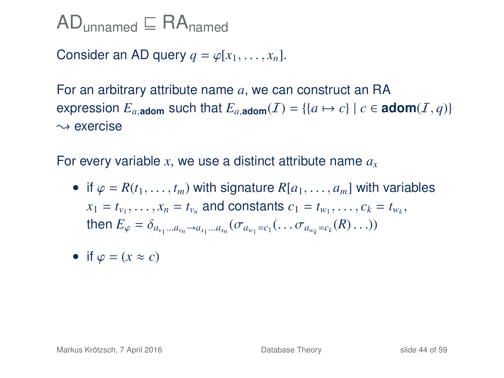Consider an AD query  $q = \varphi[x_1, \ldots, x_n]$ .

For an arbitrary attribute name *a*, we can construct an RA expression  $E_{a,\text{adom}}$  such that  $E_{a,\text{adom}}(I) = \{ \{a \mapsto c\} \mid c \in \text{adom}(I, q) \}$  $\rightsquigarrow$  exercise

For every variable *x*, we use a distinct attribute name *a<sup>x</sup>*

- if  $\varphi = R(t_1, \ldots, t_m)$  with signature  $R[a_1, \ldots, a_m]$  with variables  $x_1 = t_{v_1}, \ldots, x_n = t_{v_n}$  and constants  $c_1 = t_{w_1}, \ldots, c_k = t_{w_k}$ then  $E_{\varphi} = \delta_{a_{v_1}...a_{v_n} \to a_{x_1}...a_{x_n}} (\sigma_{a_{w_1} = c_1}(\ldots \sigma_{a_{w_k} = c_k}(R) \ldots))$
- if  $\varphi = (x \approx c)$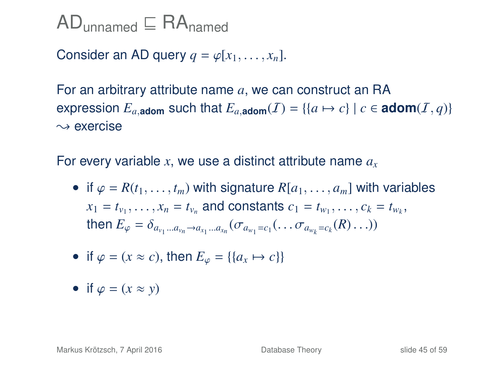Consider an AD query  $q = \varphi[x_1, \ldots, x_n]$ .

For an arbitrary attribute name *a*, we can construct an RA expression  $E_{a,\text{adom}}$  such that  $E_{a,\text{adom}}(I) = \{ \{a \mapsto c\} \mid c \in \text{adom}(I,q) \}$  $\rightsquigarrow$  exercise

For every variable *x*, we use a distinct attribute name *a<sup>x</sup>*

- if  $\varphi = R(t_1, \ldots, t_m)$  with signature  $R[a_1, \ldots, a_m]$  with variables  $x_1 = t_{v_1}, \ldots, x_n = t_{v_n}$  and constants  $c_1 = t_{w_1}, \ldots, c_k = t_{w_k}$ then  $E_{\varphi} = \delta_{a_{v_1}...a_{v_n} \to a_{x_1}...a_{x_n}} (\sigma_{a_{w_1} = c_1}(\ldots \sigma_{a_{w_k} = c_k}(R) \ldots))$
- if  $\varphi = (x \approx c)$ , then  $E_{\varphi} = \{ \{a_x \mapsto c \} \}$
- if  $\varphi = (x \approx y)$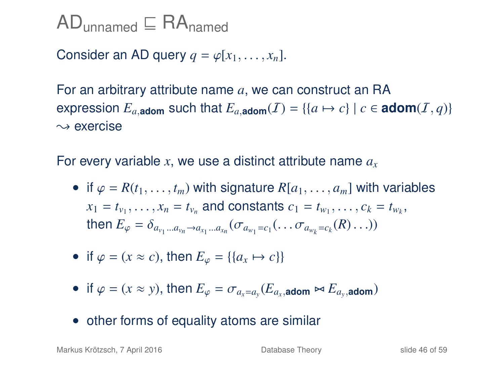Consider an AD query  $q = \varphi[x_1, \ldots, x_n]$ .

For an arbitrary attribute name *a*, we can construct an RA expression  $E_{a,\text{adom}}$  such that  $E_{a,\text{adom}}(I) = \{(a \mapsto c) \mid c \in \text{adom}(I, q)\}$  $\rightsquigarrow$  exercise

For every variable *x*, we use a distinct attribute name *a<sup>x</sup>*

- if  $\varphi = R(t_1, \ldots, t_m)$  with signature  $R[a_1, \ldots, a_m]$  with variables  $x_1 = t_{v_1}, \ldots, x_n = t_{v_n}$  and constants  $c_1 = t_{w_1}, \ldots, c_k = t_{w_k}$ then  $E_{\varphi} = \delta_{a_{v_1}...a_{v_n} \to a_{x_1}...a_{x_n}} (\sigma_{a_{w_1} = c_1}(\ldots \sigma_{a_{w_k} = c_k}(R) \ldots))$
- if  $\varphi = (x \approx c)$ , then  $E_{\varphi} = \{ \{a_x \mapsto c \} \}$
- if  $\varphi = (x \approx y)$ , then  $E_{\varphi} = \sigma_{a_x = a_y}(E_{a_x, \text{atom}} \bowtie E_{a_y, \text{atom}})$
- other forms of equality atoms are similar

Markus Krötzsch, 7 April 2016 **[Database Theory](#page-0-0)** Slide 46 of 59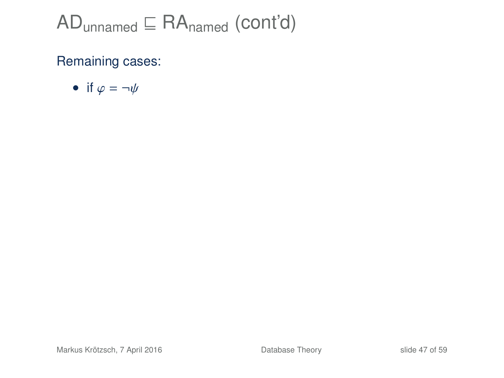• if 
$$
\varphi = \neg \psi
$$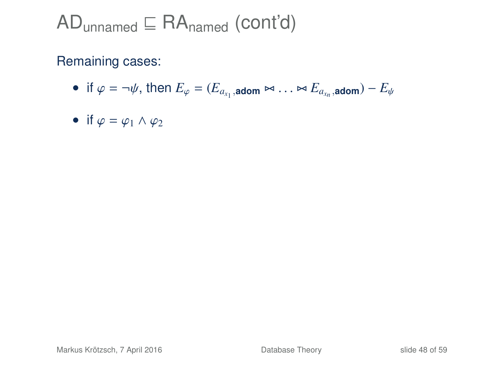- if  $\varphi = \neg \psi$ , then  $E_{\varphi} = (E_{a_{x_1}, \text{adom}} \bowtie \dots \bowtie E_{a_{x_n}, \text{adom}}) E_{\psi}$
- if  $\varphi = \varphi_1 \wedge \varphi_2$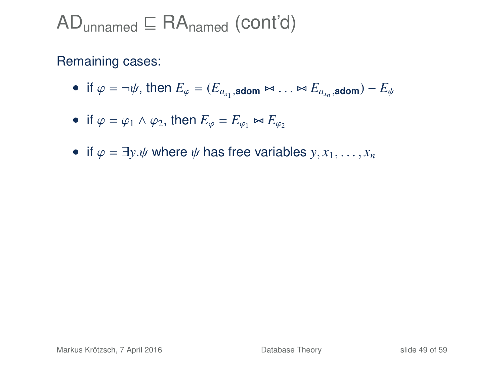- if  $\varphi = \neg \psi$ , then  $E_{\varphi} = (E_{a_{x_1}, \text{adom}} \bowtie \dots \bowtie E_{a_{x_n}, \text{adom}}) E_{\psi}$
- if  $\varphi = \varphi_1 \wedge \varphi_2$ , then  $E_{\varphi} = E_{\varphi_1} \bowtie E_{\varphi_2}$
- if  $\varphi = \exists y \psi$  where  $\psi$  has free variables  $y, x_1, \ldots, x_n$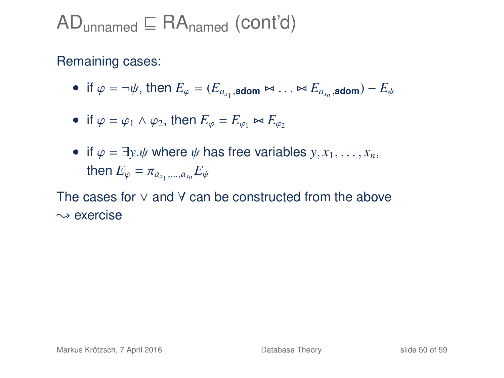#### Remaining cases:

- if  $\varphi = \neg \psi$ , then  $E_{\varphi} = (E_{a_{x_1}, \text{adom}} \bowtie \dots \bowtie E_{a_{x_n}, \text{adom}}) E_{\psi}$
- if  $\varphi = \varphi_1 \wedge \varphi_2$ , then  $E_{\varphi} = E_{\varphi_1} \bowtie E_{\varphi_2}$
- if  $\varphi = \exists y.\psi$  where  $\psi$  has free variables  $y, x_1, \ldots, x_n$ ,  $\textsf{then}~E_\varphi = \pi_{a_{x_1},...,a_{x_n}}E_\psi$

The cases for ∨ and ∀ can be constructed from the above  $\rightsquigarrow$  exercise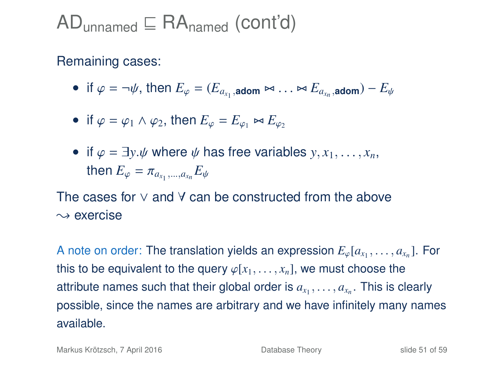#### Remaining cases:

- if  $\varphi = \neg \psi$ , then  $E_{\varphi} = (E_{a_{x_1}, \text{adom}} \bowtie \dots \bowtie E_{a_{x_n}, \text{adom}}) E_{\psi}$
- if  $\varphi = \varphi_1 \wedge \varphi_2$ , then  $E_{\varphi} = E_{\varphi_1} \bowtie E_{\varphi_2}$
- if  $\varphi = \exists y.\psi$  where  $\psi$  has free variables  $y, x_1, \ldots, x_n$ ,  $\textsf{then}~E_\varphi = \pi_{a_{x_1},...,a_{x_n}}E_\psi$

The cases for ∨ and ∀ can be constructed from the above  $\rightsquigarrow$  exercise

A note on order: The translation yields an expression  $E_{\varphi}[a_{x_1}, \ldots, a_{x_n}]$ . For this to be equivalent to the query  $\varphi[x_1, \ldots, x_n]$ , we must choose the attribute names such that their global order is  $a_{x_1}, \ldots, a_{x_n}$ . This is clearly possible, since the names are arbitrary and we have infinitely many names available.

Markus Krötzsch, 7 April 2016 **[Database Theory](#page-0-0)** Slide 51 of 59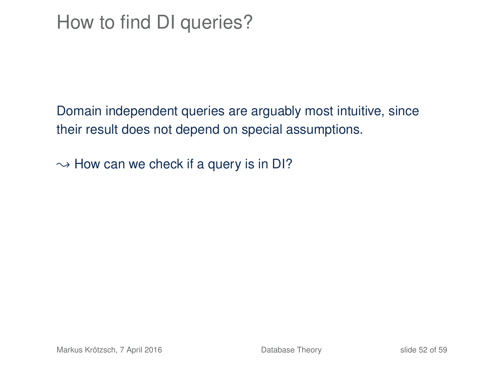Domain independent queries are arguably most intuitive, since their result does not depend on special assumptions.

 $\rightarrow$  How can we check if a query is in DI?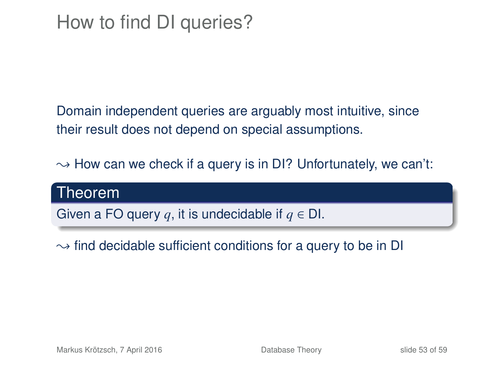Domain independent queries are arguably most intuitive, since their result does not depend on special assumptions.

 $\rightarrow$  How can we check if a query is in DI? Unfortunately, we can't:

#### Theorem

Given a FO query *q*, it is undecidable if *q* ∈ DI.

 $\rightarrow$  find decidable sufficient conditions for a query to be in DI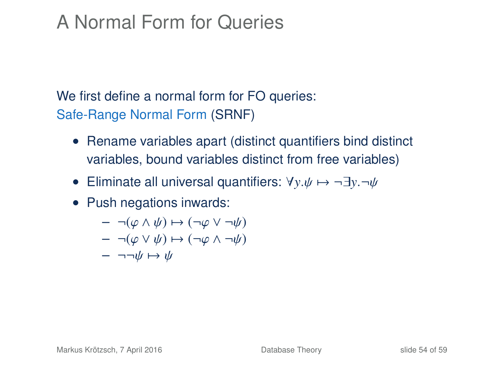## A Normal Form for Queries

We first define a normal form for FO queries: Safe-Range Normal Form (SRNF)

- Rename variables apart (distinct quantifiers bind distinct variables, bound variables distinct from free variables)
- Eliminate all universal quantifiers:  $\forall y.\psi \mapsto \neg \exists y.\neg \psi$
- Push negations inwards:

$$
- \neg(\varphi \land \psi) \mapsto (\neg\varphi \lor \neg\psi)
$$

$$
- \neg(\varphi \lor \psi) \mapsto (\neg\varphi \land \neg\psi)
$$

$$
- \neg\neg\psi \mapsto \psi
$$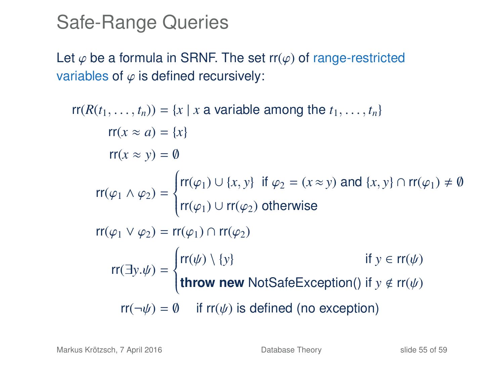#### Safe-Range Queries

Let  $\varphi$  be a formula in SRNF. The set rr( $\varphi$ ) of range-restricted variables of  $\varphi$  is defined recursively:

```
rr(R(t_1, \ldots, t_n)) = \{x \mid x \text{ a variable among the } t_1, \ldots, t_n\}rr(x \approx a) = \{x\}rr(x \approx y) = \emptysetrr(\varphi_1 \wedge \varphi_2) =\left\{\right.\overline{\mathcal{L}}rr(\varphi_1) \cup {x, y} if \varphi_2 = (x \approx y) and {x, y} \cap rr(\varphi_1) \neq \emptyset\mathsf{rr}(\varphi_1) \cup \mathsf{rr}(\varphi_2) otherwise
rr(\varphi_1 \vee \varphi_2) = rr(\varphi_1) \cap rr(\varphi_2)rr(\exists y.\psi) =
                          \left\{\right.\overline{\mathcal{L}}rr(\psi) \setminus \{y\} if y \in rr(\psi)throw new NotSafeException() if y ∉ rr(\psi)
        rr(\neg \psi) = \emptyset if rr(\psi) is defined (no exception)
```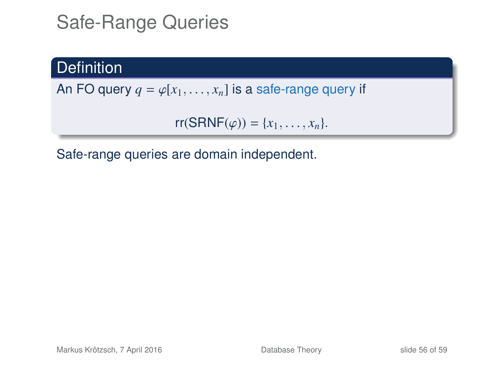## Safe-Range Queries

#### **Definition**

An FO query  $q = \varphi[x_1, \ldots, x_n]$  is a safe-range query if

 $rr(SRNF(\varphi)) = \{x_1, ..., x_n\}.$ 

Safe-range queries are domain independent.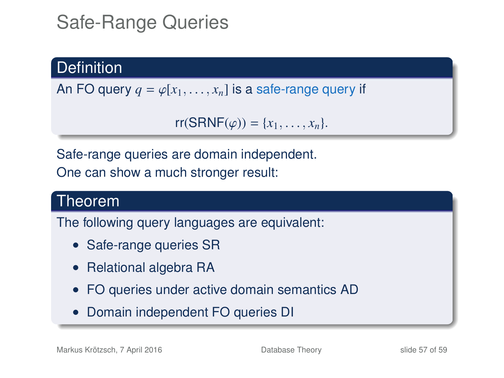## Safe-Range Queries

#### **Definition**

An FO query  $q = \varphi[x_1, \ldots, x_n]$  is a safe-range query if

```
rr(SRNF(\varphi)) = \{x_1, \ldots, x_n\}.
```
Safe-range queries are domain independent.

One can show a much stronger result:

#### Theorem

The following query languages are equivalent:

- Safe-range queries SR
- Relational algebra RA
- FO queries under active domain semantics AD
- Domain independent FO queries DI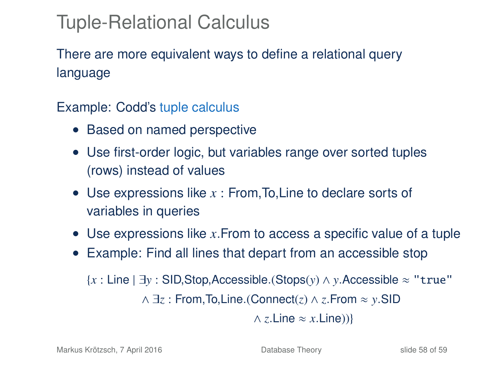## Tuple-Relational Calculus

There are more equivalent ways to define a relational query language

Example: Codd's tuple calculus

- Based on named perspective
- Use first-order logic, but variables range over sorted tuples (rows) instead of values
- Use expressions like *x* : From,To,Line to declare sorts of variables in queries
- Use expressions like *x*.From to access a specific value of a tuple
- Example: Find all lines that depart from an accessible stop

{*x* : Line | ∃*y* : SID,Stop,Accessible.(Stops(*y*) ∧ *y*.Accessible ≈ "true" ∧ ∃*z* : From,To,Line.(Connect(*z*) ∧ *z*.From ≈ *y*.SID  $\land$  *z*.Line  $\approx$  *x*.Line))}